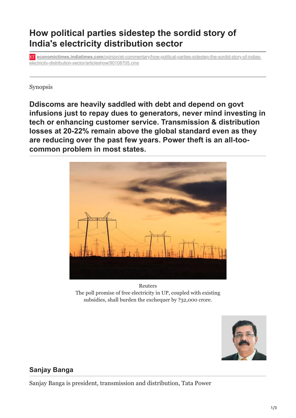## **How political parties sidestep the sordid story of India's electricity distribution sector**

**economictimes.indiatimes.com**[/opinion/et-commentary/how-political-parties-sidestep-the-sordid-story-of-indias](https://economictimes.indiatimes.com/opinion/et-commentary/how-political-parties-sidestep-the-sordid-story-of-indias-electricity-distribution-sector/articleshow/90108705.cms?from=mdr)electricity-distribution-sector/articleshow/90108705.cms

Synopsis

**Ddiscoms are heavily saddled with debt and depend on govt infusions just to repay dues to generators, never mind investing in tech or enhancing customer service. Transmission & distribution losses at 20-22% remain above the global standard even as they are reducing over the past few years. Power theft is an all-toocommon problem in most states.**



Reuters The poll promise of free electricity in UP, coupled with existing subsidies, shall burden the exchequer by ?32,000 crore.



## **Sanjay Banga**

Sanjay Banga is president, transmission and distribution, Tata Power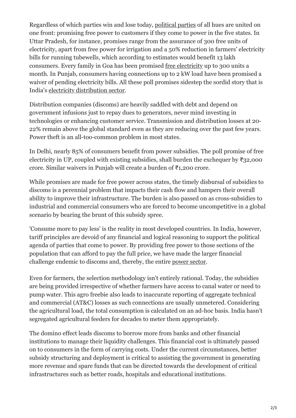Regardless of which parties win and lose today, [political parties](https://economictimes.indiatimes.com/topic/political-parties) of all hues are united on one front: promising free power to customers if they come to power in the five states. In Uttar Pradesh, for instance, promises range from the assurance of 300 free units of electricity, apart from free power for irrigation and a 50% reduction in farmers' electricity bills for running tubewells, which according to estimates would benefit 13 lakh consumers. Every family in Goa has been promised [free electricity](https://economictimes.indiatimes.com/topic/free-electricity) up to 300 units a month. In Punjab, consumers having connections up to 2 kW load have been promised a waiver of pending electricity bills. All these poll promises sidestep the sordid story that is India's [electricity distribution sector.](https://economictimes.indiatimes.com/topic/electricity-distribution-sector)

Distribution companies (discoms) are heavily saddled with debt and depend on government infusions just to repay dues to generators, never mind investing in technologies or enhancing customer service. Transmission and distribution losses at 20- 22% remain above the global standard even as they are reducing over the past few years. Power theft is an all-too-common problem in most states.

In Delhi, nearly 85% of consumers benefit from power subsidies. The poll promise of free electricity in UP, coupled with existing subsidies, shall burden the exchequer by ₹32,000 crore. Similar waivers in Punjab will create a burden of ₹1,200 crore.

While promises are made for free power across states, the timely disbursal of subsidies to discoms is a perennial problem that impacts their cash flow and hampers their overall ability to improve their infrastructure. The burden is also passed on as cross-subsidies to industrial and commercial consumers who are forced to become uncompetitive in a global scenario by bearing the brunt of this subsidy spree.

'Consume more to pay less' is the reality in most developed countries. In India, however, tariff principles are devoid of any financial and logical reasoning to support the political agenda of parties that come to power. By providing free power to those sections of the population that can afford to pay the full price, we have made the larger financial challenge endemic to discoms and, thereby, the entire [power sector](https://economictimes.indiatimes.com/topic/power-sector).

Even for farmers, the selection methodology isn't entirely rational. Today, the subsidies are being provided irrespective of whether farmers have access to canal water or need to pump water. This agro freebie also leads to inaccurate reporting of aggregate technical and commercial (AT&C) losses as such connections are usually unmetered. Considering the agricultural load, the total consumption is calculated on an ad-hoc basis. India hasn't segregated agricultural feeders for decades to meter them appropriately.

The domino effect leads discoms to borrow more from banks and other financial institutions to manage their liquidity challenges. This financial cost is ultimately passed on to consumers in the form of carrying costs. Under the current circumstances, better subsidy structuring and deployment is critical to assisting the government in generating more revenue and spare funds that can be directed towards the development of critical infrastructures such as better roads, hospitals and educational institutions.